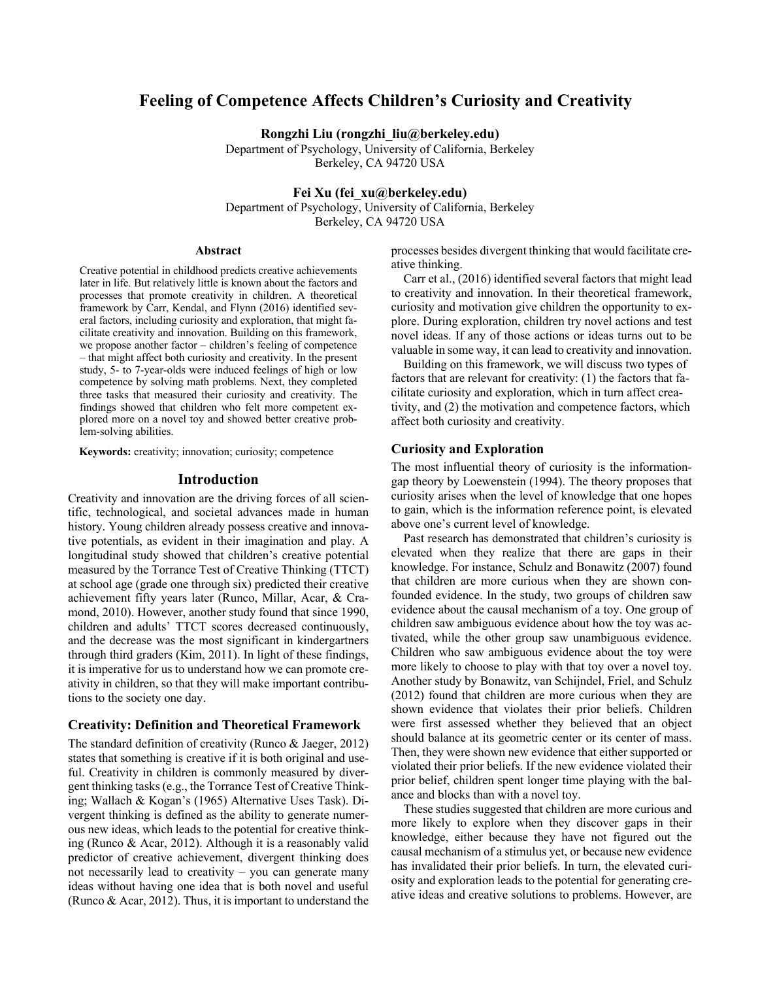# **Feeling of Competence Affects Children's Curiosity and Creativity**

**Rongzhi Liu (rongzhi\_liu@berkeley.edu)**

Department of Psychology, University of California, Berkeley Berkeley, CA 94720 USA

**Fei Xu (fei\_xu@berkeley.edu)**

Department of Psychology, University of California, Berkeley Berkeley, CA 94720 USA

#### **Abstract**

Creative potential in childhood predicts creative achievements later in life. But relatively little is known about the factors and processes that promote creativity in children. A theoretical framework by Carr, Kendal, and Flynn (2016) identified several factors, including curiosity and exploration, that might facilitate creativity and innovation. Building on this framework, we propose another factor – children's feeling of competence – that might affect both curiosity and creativity. In the present study, 5- to 7-year-olds were induced feelings of high or low competence by solving math problems. Next, they completed three tasks that measured their curiosity and creativity. The findings showed that children who felt more competent explored more on a novel toy and showed better creative problem-solving abilities.

**Keywords:** creativity; innovation; curiosity; competence

## **Introduction**

Creativity and innovation are the driving forces of all scientific, technological, and societal advances made in human history. Young children already possess creative and innovative potentials, as evident in their imagination and play. A longitudinal study showed that children's creative potential measured by the Torrance Test of Creative Thinking (TTCT) at school age (grade one through six) predicted their creative achievement fifty years later (Runco, Millar, Acar, & Cramond, 2010). However, another study found that since 1990, children and adults' TTCT scores decreased continuously, and the decrease was the most significant in kindergartners through third graders (Kim, 2011). In light of these findings, it is imperative for us to understand how we can promote creativity in children, so that they will make important contributions to the society one day.

#### **Creativity: Definition and Theoretical Framework**

The standard definition of creativity (Runco & Jaeger, 2012) states that something is creative if it is both original and useful. Creativity in children is commonly measured by divergent thinking tasks (e.g., the Torrance Test of Creative Thinking; Wallach & Kogan's (1965) Alternative Uses Task). Divergent thinking is defined as the ability to generate numerous new ideas, which leads to the potential for creative thinking (Runco & Acar, 2012). Although it is a reasonably valid predictor of creative achievement, divergent thinking does not necessarily lead to creativity – you can generate many ideas without having one idea that is both novel and useful (Runco & Acar, 2012). Thus, it is important to understand the processes besides divergent thinking that would facilitate creative thinking.

Carr et al., (2016) identified several factors that might lead to creativity and innovation. In their theoretical framework, curiosity and motivation give children the opportunity to explore. During exploration, children try novel actions and test novel ideas. If any of those actions or ideas turns out to be valuable in some way, it can lead to creativity and innovation.

Building on this framework, we will discuss two types of factors that are relevant for creativity: (1) the factors that facilitate curiosity and exploration, which in turn affect creativity, and (2) the motivation and competence factors, which affect both curiosity and creativity.

## **Curiosity and Exploration**

The most influential theory of curiosity is the informationgap theory by Loewenstein (1994). The theory proposes that curiosity arises when the level of knowledge that one hopes to gain, which is the information reference point, is elevated above one's current level of knowledge.

Past research has demonstrated that children's curiosity is elevated when they realize that there are gaps in their knowledge. For instance, Schulz and Bonawitz (2007) found that children are more curious when they are shown confounded evidence. In the study, two groups of children saw evidence about the causal mechanism of a toy. One group of children saw ambiguous evidence about how the toy was activated, while the other group saw unambiguous evidence. Children who saw ambiguous evidence about the toy were more likely to choose to play with that toy over a novel toy. Another study by Bonawitz, van Schijndel, Friel, and Schulz (2012) found that children are more curious when they are shown evidence that violates their prior beliefs. Children were first assessed whether they believed that an object should balance at its geometric center or its center of mass. Then, they were shown new evidence that either supported or violated their prior beliefs. If the new evidence violated their prior belief, children spent longer time playing with the balance and blocks than with a novel toy.

These studies suggested that children are more curious and more likely to explore when they discover gaps in their knowledge, either because they have not figured out the causal mechanism of a stimulus yet, or because new evidence has invalidated their prior beliefs. In turn, the elevated curiosity and exploration leads to the potential for generating creative ideas and creative solutions to problems. However, are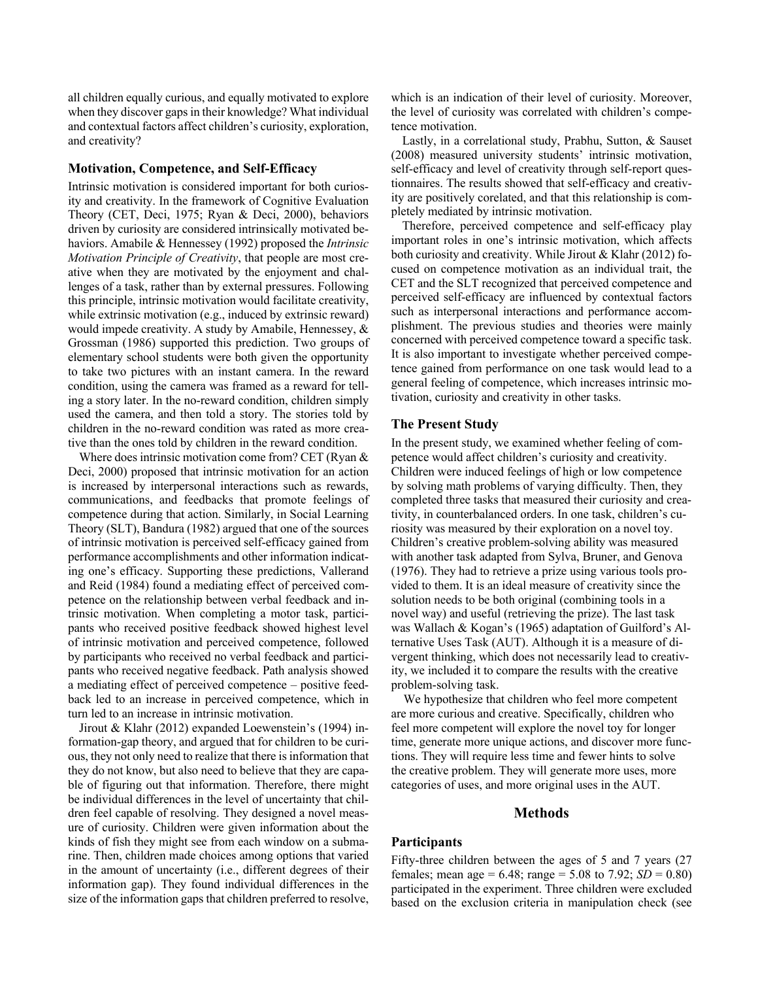all children equally curious, and equally motivated to explore when they discover gaps in their knowledge? What individual and contextual factors affect children's curiosity, exploration, and creativity?

#### **Motivation, Competence, and Self-Efficacy**

Intrinsic motivation is considered important for both curiosity and creativity. In the framework of Cognitive Evaluation Theory (CET, Deci, 1975; Ryan & Deci, 2000), behaviors driven by curiosity are considered intrinsically motivated behaviors. Amabile & Hennessey (1992) proposed the *Intrinsic Motivation Principle of Creativity*, that people are most creative when they are motivated by the enjoyment and challenges of a task, rather than by external pressures. Following this principle, intrinsic motivation would facilitate creativity, while extrinsic motivation (e.g., induced by extrinsic reward) would impede creativity. A study by Amabile, Hennessey, & Grossman (1986) supported this prediction. Two groups of elementary school students were both given the opportunity to take two pictures with an instant camera. In the reward condition, using the camera was framed as a reward for telling a story later. In the no-reward condition, children simply used the camera, and then told a story. The stories told by children in the no-reward condition was rated as more creative than the ones told by children in the reward condition.

Where does intrinsic motivation come from? CET (Ryan & Deci, 2000) proposed that intrinsic motivation for an action is increased by interpersonal interactions such as rewards, communications, and feedbacks that promote feelings of competence during that action. Similarly, in Social Learning Theory (SLT), Bandura (1982) argued that one of the sources of intrinsic motivation is perceived self-efficacy gained from performance accomplishments and other information indicating one's efficacy. Supporting these predictions, Vallerand and Reid (1984) found a mediating effect of perceived competence on the relationship between verbal feedback and intrinsic motivation. When completing a motor task, participants who received positive feedback showed highest level of intrinsic motivation and perceived competence, followed by participants who received no verbal feedback and participants who received negative feedback. Path analysis showed a mediating effect of perceived competence – positive feedback led to an increase in perceived competence, which in turn led to an increase in intrinsic motivation.

Jirout & Klahr (2012) expanded Loewenstein's (1994) information-gap theory, and argued that for children to be curious, they not only need to realize that there is information that they do not know, but also need to believe that they are capable of figuring out that information. Therefore, there might be individual differences in the level of uncertainty that children feel capable of resolving. They designed a novel measure of curiosity. Children were given information about the kinds of fish they might see from each window on a submarine. Then, children made choices among options that varied in the amount of uncertainty (i.e., different degrees of their information gap). They found individual differences in the size of the information gaps that children preferred to resolve,

which is an indication of their level of curiosity. Moreover, the level of curiosity was correlated with children's competence motivation.

Lastly, in a correlational study, Prabhu, Sutton, & Sauset (2008) measured university students' intrinsic motivation, self-efficacy and level of creativity through self-report questionnaires. The results showed that self-efficacy and creativity are positively corelated, and that this relationship is completely mediated by intrinsic motivation.

Therefore, perceived competence and self-efficacy play important roles in one's intrinsic motivation, which affects both curiosity and creativity. While Jirout & Klahr (2012) focused on competence motivation as an individual trait, the CET and the SLT recognized that perceived competence and perceived self-efficacy are influenced by contextual factors such as interpersonal interactions and performance accomplishment. The previous studies and theories were mainly concerned with perceived competence toward a specific task. It is also important to investigate whether perceived competence gained from performance on one task would lead to a general feeling of competence, which increases intrinsic motivation, curiosity and creativity in other tasks.

#### **The Present Study**

In the present study, we examined whether feeling of competence would affect children's curiosity and creativity. Children were induced feelings of high or low competence by solving math problems of varying difficulty. Then, they completed three tasks that measured their curiosity and creativity, in counterbalanced orders. In one task, children's curiosity was measured by their exploration on a novel toy. Children's creative problem-solving ability was measured with another task adapted from Sylva, Bruner, and Genova (1976). They had to retrieve a prize using various tools provided to them. It is an ideal measure of creativity since the solution needs to be both original (combining tools in a novel way) and useful (retrieving the prize). The last task was Wallach & Kogan's (1965) adaptation of Guilford's Alternative Uses Task (AUT). Although it is a measure of divergent thinking, which does not necessarily lead to creativity, we included it to compare the results with the creative problem-solving task.

 We hypothesize that children who feel more competent are more curious and creative. Specifically, children who feel more competent will explore the novel toy for longer time, generate more unique actions, and discover more functions. They will require less time and fewer hints to solve the creative problem. They will generate more uses, more categories of uses, and more original uses in the AUT.

#### **Methods**

#### **Participants**

Fifty-three children between the ages of 5 and 7 years (27 females; mean age =  $6.48$ ; range =  $5.08$  to  $7.92$ ; *SD* = 0.80) participated in the experiment. Three children were excluded based on the exclusion criteria in manipulation check (see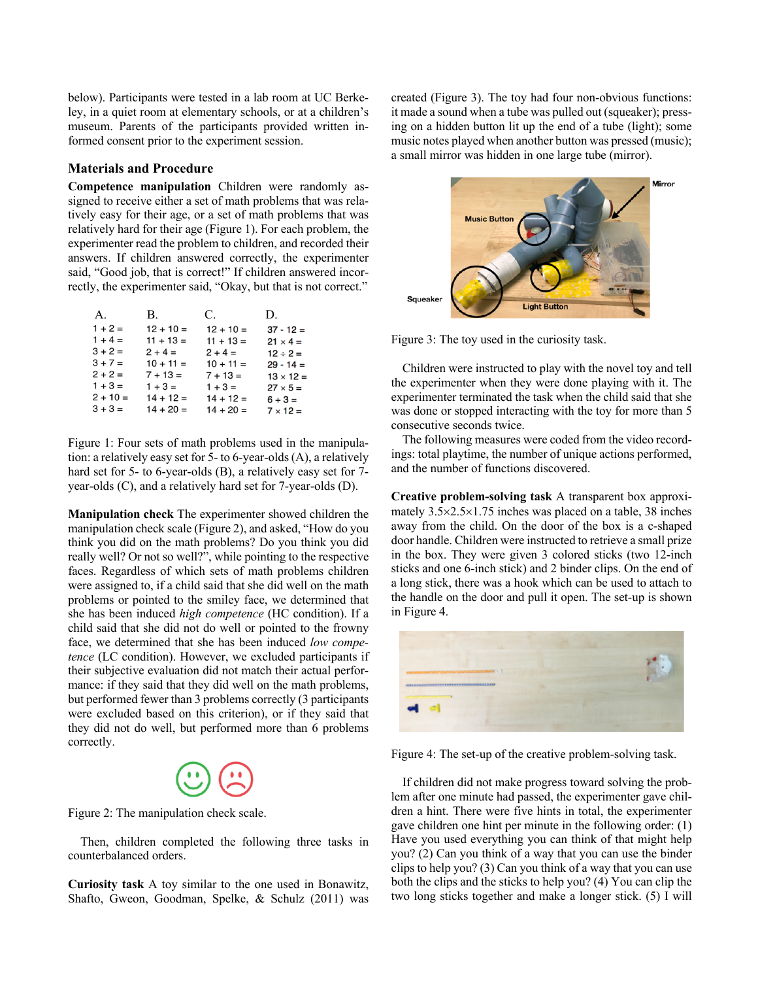below). Participants were tested in a lab room at UC Berkeley, in a quiet room at elementary schools, or at a children's museum. Parents of the participants provided written informed consent prior to the experiment session.

#### **Materials and Procedure**

**Competence manipulation** Children were randomly assigned to receive either a set of math problems that was relatively easy for their age, or a set of math problems that was relatively hard for their age (Figure 1). For each problem, the experimenter read the problem to children, and recorded their answers. If children answered correctly, the experimenter said, "Good job, that is correct!" If children answered incorrectly, the experimenter said, "Okay, but that is not correct."

| A.         | B.          | C.          | D.               |
|------------|-------------|-------------|------------------|
| $1 + 2 =$  | $12 + 10 =$ | $12 + 10 =$ | $37 - 12 =$      |
| $1 + 4 =$  | $11 + 13 =$ | $11 + 13 =$ | $21 \times 4 =$  |
| $3 + 2 =$  | $2 + 4 =$   | $2 + 4 =$   | $12 \div 2 =$    |
| $3 + 7 =$  | $10 + 11 =$ | $10 + 11 =$ | $29 - 14 =$      |
| $2 + 2 =$  | $7 + 13 =$  | $7 + 13 =$  | $13 \times 12 =$ |
| $1 + 3 =$  | $1 + 3 =$   | $1 + 3 =$   | $27 \times 5 =$  |
| $2 + 10 =$ | $14 + 12 =$ | $14 + 12 =$ | $6 + 3 =$        |
| $3 + 3 =$  | $14 + 20 =$ | $14 + 20 =$ | $7 \times 12 =$  |

Figure 1: Four sets of math problems used in the manipulation: a relatively easy set for 5- to 6-year-olds (A), a relatively hard set for 5- to 6-year-olds (B), a relatively easy set for 7year-olds (C), and a relatively hard set for 7-year-olds (D).

**Manipulation check** The experimenter showed children the manipulation check scale (Figure 2), and asked, "How do you think you did on the math problems? Do you think you did really well? Or not so well?", while pointing to the respective faces. Regardless of which sets of math problems children were assigned to, if a child said that she did well on the math problems or pointed to the smiley face, we determined that she has been induced *high competence* (HC condition). If a child said that she did not do well or pointed to the frowny face, we determined that she has been induced *low competence* (LC condition). However, we excluded participants if their subjective evaluation did not match their actual performance: if they said that they did well on the math problems, but performed fewer than 3 problems correctly (3 participants were excluded based on this criterion), or if they said that they did not do well, but performed more than 6 problems correctly.



Figure 2: The manipulation check scale.

Then, children completed the following three tasks in counterbalanced orders.

**Curiosity task** A toy similar to the one used in Bonawitz, Shafto, Gweon, Goodman, Spelke, & Schulz (2011) was created (Figure 3). The toy had four non-obvious functions: it made a sound when a tube was pulled out (squeaker); pressing on a hidden button lit up the end of a tube (light); some music notes played when another button was pressed (music); a small mirror was hidden in one large tube (mirror).



Figure 3: The toy used in the curiosity task.

Children were instructed to play with the novel toy and tell the experimenter when they were done playing with it. The experimenter terminated the task when the child said that she was done or stopped interacting with the toy for more than 5 consecutive seconds twice.

The following measures were coded from the video recordings: total playtime, the number of unique actions performed, and the number of functions discovered.

**Creative problem-solving task** A transparent box approximately  $3.5 \times 2.5 \times 1.75$  inches was placed on a table, 38 inches away from the child. On the door of the box is a c-shaped door handle. Children were instructed to retrieve a small prize in the box. They were given 3 colored sticks (two 12-inch sticks and one 6-inch stick) and 2 binder clips. On the end of a long stick, there was a hook which can be used to attach to the handle on the door and pull it open. The set-up is shown in Figure 4.



Figure 4: The set-up of the creative problem-solving task.

If children did not make progress toward solving the problem after one minute had passed, the experimenter gave children a hint. There were five hints in total, the experimenter gave children one hint per minute in the following order: (1) Have you used everything you can think of that might help you? (2) Can you think of a way that you can use the binder clips to help you? (3) Can you think of a way that you can use both the clips and the sticks to help you? (4) You can clip the two long sticks together and make a longer stick. (5) I will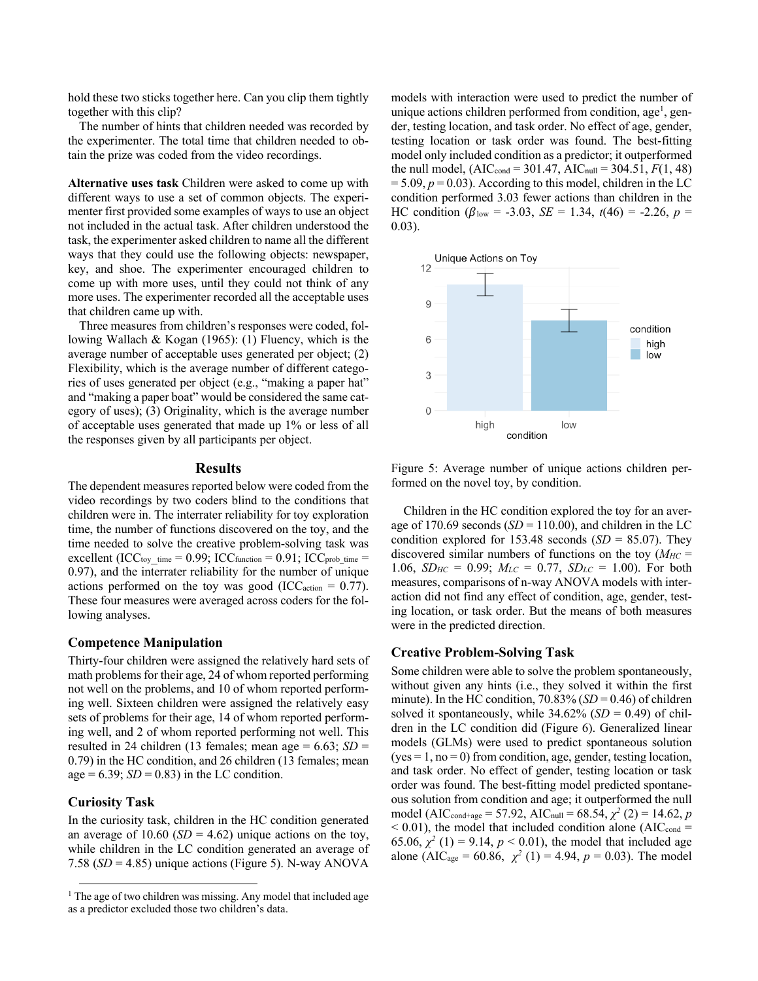hold these two sticks together here. Can you clip them tightly together with this clip?

The number of hints that children needed was recorded by the experimenter. The total time that children needed to obtain the prize was coded from the video recordings.

**Alternative uses task** Children were asked to come up with different ways to use a set of common objects. The experimenter first provided some examples of ways to use an object not included in the actual task. After children understood the task, the experimenter asked children to name all the different ways that they could use the following objects: newspaper, key, and shoe. The experimenter encouraged children to come up with more uses, until they could not think of any more uses. The experimenter recorded all the acceptable uses that children came up with.

Three measures from children's responses were coded, following Wallach & Kogan (1965): (1) Fluency, which is the average number of acceptable uses generated per object; (2) Flexibility, which is the average number of different categories of uses generated per object (e.g., "making a paper hat" and "making a paper boat" would be considered the same category of uses); (3) Originality, which is the average number of acceptable uses generated that made up 1% or less of all the responses given by all participants per object.

#### **Results**

The dependent measures reported below were coded from the video recordings by two coders blind to the conditions that children were in. The interrater reliability for toy exploration time, the number of functions discovered on the toy, and the time needed to solve the creative problem-solving task was excellent (ICC<sub>toy time</sub> = 0.99; ICC<sub>function</sub> = 0.91; ICC<sub>prob\_time</sub> = 0.97), and the interrater reliability for the number of unique actions performed on the toy was good (ICC<sub>action</sub> =  $0.77$ ). These four measures were averaged across coders for the following analyses.

### **Competence Manipulation**

Thirty-four children were assigned the relatively hard sets of math problems for their age, 24 of whom reported performing not well on the problems, and 10 of whom reported performing well. Sixteen children were assigned the relatively easy sets of problems for their age, 14 of whom reported performing well, and 2 of whom reported performing not well. This resulted in 24 children (13 females; mean age  $= 6.63$ ; *SD*  $=$ 0.79) in the HC condition, and 26 children (13 females; mean age =  $6.39$ ; *SD* = 0.83) in the LC condition.

#### **Curiosity Task**

In the curiosity task, children in the HC condition generated an average of  $10.60$  (*SD* = 4.62) unique actions on the toy, while children in the LC condition generated an average of 7.58 (*SD* = 4.85) unique actions (Figure 5). N-way ANOVA

models with interaction were used to predict the number of unique actions children performed from condition, age<sup>1</sup>, gender, testing location, and task order. No effect of age, gender, testing location or task order was found. The best-fitting model only included condition as a predictor; it outperformed the null model,  $(AIC_{cond} = 301.47, AIC_{null} = 304.51, F(1, 48)$  $= 5.09, p = 0.03$ ). According to this model, children in the LC condition performed 3.03 fewer actions than children in the HC condition ( $\beta_{\text{low}} = -3.03$ , *SE* = 1.34,  $t(46) = -2.26$ ,  $p =$ 0.03).



Figure 5: Average number of unique actions children performed on the novel toy, by condition.

Children in the HC condition explored the toy for an average of 170.69 seconds  $(SD = 110.00)$ , and children in the LC condition explored for  $153.48$  seconds  $(SD = 85.07)$ . They discovered similar numbers of functions on the toy  $(M_{HC} =$ 1.06,  $SD_{HC} = 0.99$ ;  $M_{LC} = 0.77$ ,  $SD_{LC} = 1.00$ ). For both measures, comparisons of n-way ANOVA models with interaction did not find any effect of condition, age, gender, testing location, or task order. But the means of both measures were in the predicted direction.

## **Creative Problem-Solving Task**

Some children were able to solve the problem spontaneously, without given any hints (i.e., they solved it within the first minute). In the HC condition,  $70.83\%$  (*SD* = 0.46) of children solved it spontaneously, while  $34.62\%$  (*SD* = 0.49) of children in the LC condition did (Figure 6). Generalized linear models (GLMs) were used to predict spontaneous solution  $(yes = 1, no = 0)$  from condition, age, gender, testing location, and task order. No effect of gender, testing location or task order was found. The best-fitting model predicted spontaneous solution from condition and age; it outperformed the null model (AIC<sub>cond+age</sub> = 57.92, AIC<sub>null</sub> = 68.54,  $\chi^2$  (2) = 14.62, *p*  $<$  0.01), the model that included condition alone (AIC $_{\text{cond}}$  = 65.06,  $\chi^2$  (1) = 9.14,  $p < 0.01$ ), the model that included age alone (AIC<sub>age</sub> = 60.86,  $\chi^2$  (1) = 4.94,  $p = 0.03$ ). The model

<sup>&</sup>lt;sup>1</sup> The age of two children was missing. Any model that included age as a predictor excluded those two children's data.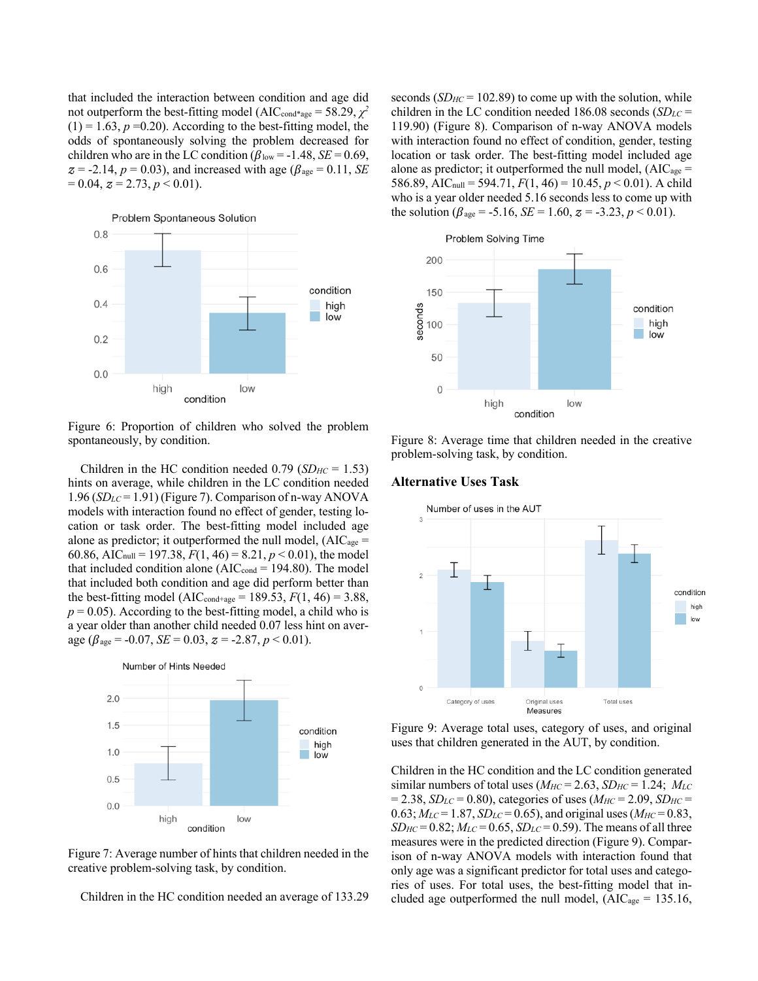that included the interaction between condition and age did not outperform the best-fitting model (AIC<sub>cond\*age</sub> = 58.29,  $\chi^2$  $(1) = 1.63$ ,  $p = 0.20$ ). According to the best-fitting model, the odds of spontaneously solving the problem decreased for children who are in the LC condition ( $\beta_{\text{low}}$  = -1.48, *SE* = 0.69,  $z = -2.14$ ,  $p = 0.03$ ), and increased with age ( $\beta_{\text{age}} = 0.11$ , *SE*  $= 0.04$ ,  $z = 2.73$ ,  $p < 0.01$ ).



Figure 6: Proportion of children who solved the problem spontaneously, by condition.

Children in the HC condition needed 0.79 (*SDHC* = 1.53) hints on average, while children in the LC condition needed 1.96 (*SDLC* = 1.91) (Figure 7). Comparison of n-way ANOVA models with interaction found no effect of gender, testing location or task order. The best-fitting model included age alone as predictor; it outperformed the null model,  $(AIC<sub>age</sub> =$ 60.86, AIC<sub>null</sub> = 197.38,  $F(1, 46) = 8.21, p < 0.01$ , the model that included condition alone ( $AIC_{cond} = 194.80$ ). The model that included both condition and age did perform better than the best-fitting model (AIC<sub>cond+age</sub> = 189.53,  $F(1, 46) = 3.88$ ,  $p = 0.05$ ). According to the best-fitting model, a child who is a year older than another child needed 0.07 less hint on average ( $\beta_{\text{age}} = -0.07$ , *SE* = 0.03,  $z = -2.87$ ,  $p < 0.01$ ).



Figure 7: Average number of hints that children needed in the creative problem-solving task, by condition.

Children in the HC condition needed an average of 133.29

seconds  $(SD_{HC} = 102.89)$  to come up with the solution, while children in the LC condition needed 186.08 seconds (*SDLC* = 119.90) (Figure 8). Comparison of n-way ANOVA models with interaction found no effect of condition, gender, testing location or task order. The best-fitting model included age alone as predictor; it outperformed the null model,  $(AIC<sub>age</sub> =$ 586.89, AIC<sub>null</sub> = 594.71,  $F(1, 46) = 10.45$ ,  $p < 0.01$ ). A child who is a year older needed 5.16 seconds less to come up with the solution ( $\beta_{\text{age}} = -5.16$ , *SE* = 1.60,  $z = -3.23$ ,  $p < 0.01$ ).



Figure 8: Average time that children needed in the creative problem-solving task, by condition.

#### **Alternative Uses Task**



Figure 9: Average total uses, category of uses, and original uses that children generated in the AUT, by condition.

Children in the HC condition and the LC condition generated similar numbers of total uses  $(M_{HC} = 2.63, SD_{HC} = 1.24; M_{LC}$  $= 2.38, SD<sub>LC</sub> = 0.80$ , categories of uses ( $M<sub>HC</sub> = 2.09, SD<sub>HC</sub> =$  $0.63$ ;  $M_{LC} = 1.87$ ,  $SD_{LC} = 0.65$ ), and original uses ( $M_{HC} = 0.83$ ,  $SD_{HC} = 0.82$ ;  $M_{LC} = 0.65$ ,  $SD_{LC} = 0.59$ ). The means of all three measures were in the predicted direction (Figure 9). Comparison of n-way ANOVA models with interaction found that only age was a significant predictor for total uses and categories of uses. For total uses, the best-fitting model that included age outperformed the null model,  $(AIC<sub>age</sub> = 135.16,$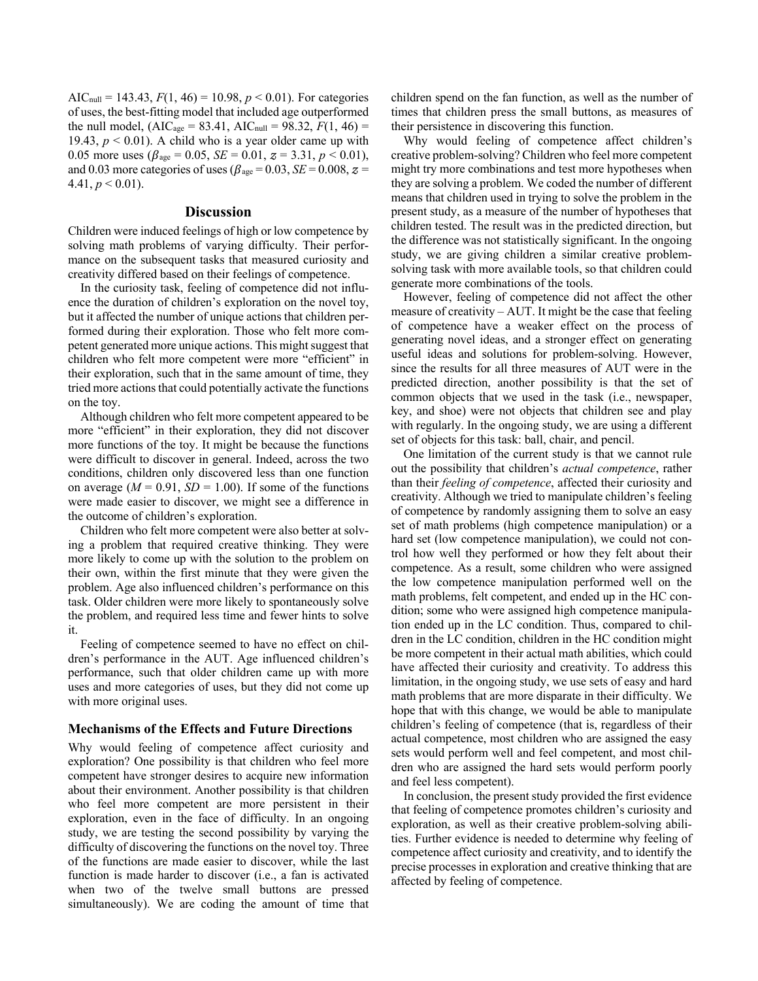AIC<sub>null</sub> = 143.43,  $F(1, 46) = 10.98$ ,  $p < 0.01$ ). For categories of uses, the best-fitting model that included age outperformed the null model,  $(AIC_{age} = 83.41, AIC_{null} = 98.32, F(1, 46) =$ 19.43,  $p < 0.01$ ). A child who is a year older came up with 0.05 more uses ( $\beta_{\text{age}} = 0.05$ ,  $SE = 0.01$ ,  $z = 3.31$ ,  $p < 0.01$ ), and 0.03 more categories of uses ( $\beta_{\text{age}} = 0.03$ ,  $SE = 0.008$ ,  $z =$  $4.41, p \le 0.01$ ).

#### **Discussion**

Children were induced feelings of high or low competence by solving math problems of varying difficulty. Their performance on the subsequent tasks that measured curiosity and creativity differed based on their feelings of competence.

In the curiosity task, feeling of competence did not influence the duration of children's exploration on the novel toy, but it affected the number of unique actions that children performed during their exploration. Those who felt more competent generated more unique actions. This might suggest that children who felt more competent were more "efficient" in their exploration, such that in the same amount of time, they tried more actions that could potentially activate the functions on the toy.

Although children who felt more competent appeared to be more "efficient" in their exploration, they did not discover more functions of the toy. It might be because the functions were difficult to discover in general. Indeed, across the two conditions, children only discovered less than one function on average  $(M = 0.91, SD = 1.00)$ . If some of the functions were made easier to discover, we might see a difference in the outcome of children's exploration.

Children who felt more competent were also better at solving a problem that required creative thinking. They were more likely to come up with the solution to the problem on their own, within the first minute that they were given the problem. Age also influenced children's performance on this task. Older children were more likely to spontaneously solve the problem, and required less time and fewer hints to solve it.

Feeling of competence seemed to have no effect on children's performance in the AUT. Age influenced children's performance, such that older children came up with more uses and more categories of uses, but they did not come up with more original uses.

#### **Mechanisms of the Effects and Future Directions**

Why would feeling of competence affect curiosity and exploration? One possibility is that children who feel more competent have stronger desires to acquire new information about their environment. Another possibility is that children who feel more competent are more persistent in their exploration, even in the face of difficulty. In an ongoing study, we are testing the second possibility by varying the difficulty of discovering the functions on the novel toy. Three of the functions are made easier to discover, while the last function is made harder to discover (i.e., a fan is activated when two of the twelve small buttons are pressed simultaneously). We are coding the amount of time that

children spend on the fan function, as well as the number of times that children press the small buttons, as measures of their persistence in discovering this function.

Why would feeling of competence affect children's creative problem-solving? Children who feel more competent might try more combinations and test more hypotheses when they are solving a problem. We coded the number of different means that children used in trying to solve the problem in the present study, as a measure of the number of hypotheses that children tested. The result was in the predicted direction, but the difference was not statistically significant. In the ongoing study, we are giving children a similar creative problemsolving task with more available tools, so that children could generate more combinations of the tools.

However, feeling of competence did not affect the other measure of creativity – AUT. It might be the case that feeling of competence have a weaker effect on the process of generating novel ideas, and a stronger effect on generating useful ideas and solutions for problem-solving. However, since the results for all three measures of AUT were in the predicted direction, another possibility is that the set of common objects that we used in the task (i.e., newspaper, key, and shoe) were not objects that children see and play with regularly. In the ongoing study, we are using a different set of objects for this task: ball, chair, and pencil.

One limitation of the current study is that we cannot rule out the possibility that children's *actual competence*, rather than their *feeling of competence*, affected their curiosity and creativity. Although we tried to manipulate children's feeling of competence by randomly assigning them to solve an easy set of math problems (high competence manipulation) or a hard set (low competence manipulation), we could not control how well they performed or how they felt about their competence. As a result, some children who were assigned the low competence manipulation performed well on the math problems, felt competent, and ended up in the HC condition; some who were assigned high competence manipulation ended up in the LC condition. Thus, compared to children in the LC condition, children in the HC condition might be more competent in their actual math abilities, which could have affected their curiosity and creativity. To address this limitation, in the ongoing study, we use sets of easy and hard math problems that are more disparate in their difficulty. We hope that with this change, we would be able to manipulate children's feeling of competence (that is, regardless of their actual competence, most children who are assigned the easy sets would perform well and feel competent, and most children who are assigned the hard sets would perform poorly and feel less competent).

In conclusion, the present study provided the first evidence that feeling of competence promotes children's curiosity and exploration, as well as their creative problem-solving abilities. Further evidence is needed to determine why feeling of competence affect curiosity and creativity, and to identify the precise processes in exploration and creative thinking that are affected by feeling of competence.